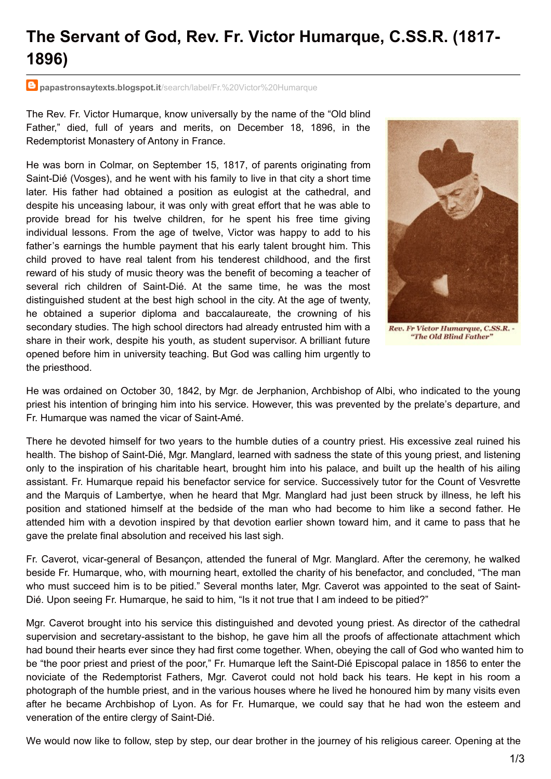## **The Servant of God, Rev. Fr. Victor Humarque, C.SS.R. (1817- 1896)**

**papastronsaytexts.blogspot.it**[/search/label/Fr.%20Victor%20Humarque](http://papastronsaytexts.blogspot.it/search/label/Fr. Victor Humarque)

The Rev. Fr. Victor Humarque, know universally by the name of the "Old blind Father," died, full of years and merits, on December 18, 1896, in the Redemptorist Monastery of Antony in France.

He was born in Colmar, on September 15, 1817, of parents originating from Saint-Dié (Vosges), and he went with his family to live in that city a short time later. His father had obtained a position as eulogist at the cathedral, and despite his unceasing labour, it was only with great effort that he was able to provide bread for his twelve children, for he spent his free time giving individual lessons. From the age of twelve, Victor was happy to add to his father's earnings the humble payment that his early talent brought him. This child proved to have real talent from his tenderest childhood, and the first reward of his study of music theory was the benefit of becoming a teacher of several rich children of Saint-Dié. At the same time, he was the most distinguished student at the best high school in the city. At the age of twenty, he obtained a superior diploma and baccalaureate, the crowning of his secondary studies. The high school directors had already entrusted him with a share in their work, despite his youth, as student supervisor. A brilliant future opened before him in university teaching. But God was calling him urgently to the priesthood.



He was ordained on October 30, 1842, by Mgr. de Jerphanion, Archbishop of Albi, who indicated to the young priest his intention of bringing him into his service. However, this was prevented by the prelate's departure, and Fr. Humarque was named the vicar of Saint-Amé.

There he devoted himself for two years to the humble duties of a country priest. His excessive zeal ruined his health. The bishop of Saint-Dié, Mgr. Manglard, learned with sadness the state of this young priest, and listening only to the inspiration of his charitable heart, brought him into his palace, and built up the health of his ailing assistant. Fr. Humarque repaid his benefactor service for service. Successively tutor for the Count of Vesvrette and the Marquis of Lambertye, when he heard that Mgr. Manglard had just been struck by illness, he left his position and stationed himself at the bedside of the man who had become to him like a second father. He attended him with a devotion inspired by that devotion earlier shown toward him, and it came to pass that he gave the prelate final absolution and received his last sigh.

Fr. Caverot, vicar-general of Besançon, attended the funeral of Mgr. Manglard. After the ceremony, he walked beside Fr. Humarque, who, with mourning heart, extolled the charity of his benefactor, and concluded, "The man who must succeed him is to be pitied." Several months later, Mgr. Caverot was appointed to the seat of Saint-Dié. Upon seeing Fr. Humarque, he said to him, "Is it not true that I am indeed to be pitied?"

Mgr. Caverot brought into his service this distinguished and devoted young priest. As director of the cathedral supervision and secretary-assistant to the bishop, he gave him all the proofs of affectionate attachment which had bound their hearts ever since they had first come together. When, obeying the call of God who wanted him to be "the poor priest and priest of the poor," Fr. Humarque left the Saint-Dié Episcopal palace in 1856 to enter the noviciate of the Redemptorist Fathers, Mgr. Caverot could not hold back his tears. He kept in his room a photograph of the humble priest, and in the various houses where he lived he honoured him by many visits even after he became Archbishop of Lyon. As for Fr. Humarque, we could say that he had won the esteem and veneration of the entire clergy of Saint-Dié.

We would now like to follow, step by step, our dear brother in the journey of his religious career. Opening at the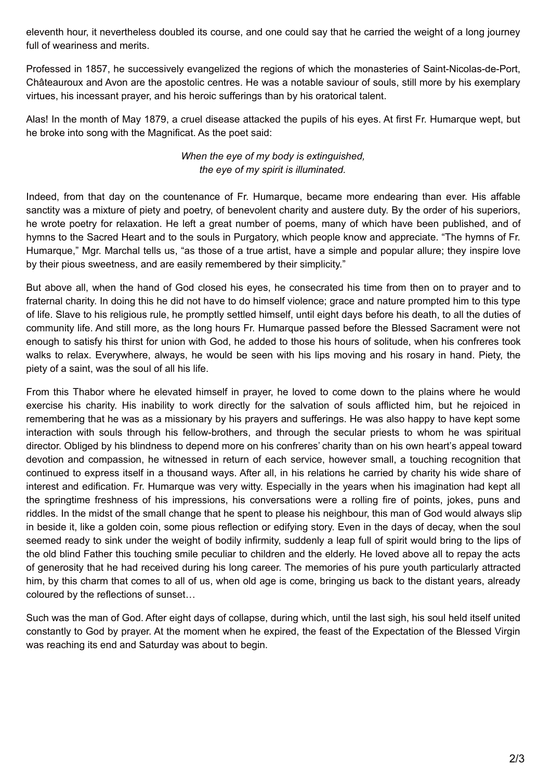eleventh hour, it nevertheless doubled its course, and one could say that he carried the weight of a long journey full of weariness and merits.

Professed in 1857, he successively evangelized the regions of which the monasteries of Saint-Nicolas-de-Port, Châteauroux and Avon are the apostolic centres. He was a notable saviour of souls, still more by his exemplary virtues, his incessant prayer, and his heroic sufferings than by his oratorical talent.

Alas! In the month of May 1879, a cruel disease attacked the pupils of his eyes. At first Fr. Humarque wept, but he broke into song with the Magnificat. As the poet said:

## *When the eye of my body is extinguished, the eye of my spirit is illuminated.*

Indeed, from that day on the countenance of Fr. Humarque, became more endearing than ever. His affable sanctity was a mixture of piety and poetry, of benevolent charity and austere duty. By the order of his superiors, he wrote poetry for relaxation. He left a great number of poems, many of which have been published, and of hymns to the Sacred Heart and to the souls in Purgatory, which people know and appreciate. "The hymns of Fr. Humarque," Mgr. Marchal tells us, "as those of a true artist, have a simple and popular allure; they inspire love by their pious sweetness, and are easily remembered by their simplicity."

But above all, when the hand of God closed his eyes, he consecrated his time from then on to prayer and to fraternal charity. In doing this he did not have to do himself violence; grace and nature prompted him to this type of life. Slave to his religious rule, he promptly settled himself, until eight days before his death, to all the duties of community life. And still more, as the long hours Fr. Humarque passed before the Blessed Sacrament were not enough to satisfy his thirst for union with God, he added to those his hours of solitude, when his confreres took walks to relax. Everywhere, always, he would be seen with his lips moving and his rosary in hand. Piety, the piety of a saint, was the soul of all his life.

From this Thabor where he elevated himself in prayer, he loved to come down to the plains where he would exercise his charity. His inability to work directly for the salvation of souls afflicted him, but he rejoiced in remembering that he was as a missionary by his prayers and sufferings. He was also happy to have kept some interaction with souls through his fellow-brothers, and through the secular priests to whom he was spiritual director. Obliged by his blindness to depend more on his confreres' charity than on his own heart's appeal toward devotion and compassion, he witnessed in return of each service, however small, a touching recognition that continued to express itself in a thousand ways. After all, in his relations he carried by charity his wide share of interest and edification. Fr. Humarque was very witty. Especially in the years when his imagination had kept all the springtime freshness of his impressions, his conversations were a rolling fire of points, jokes, puns and riddles. In the midst of the small change that he spent to please his neighbour, this man of God would always slip in beside it, like a golden coin, some pious reflection or edifying story. Even in the days of decay, when the soul seemed ready to sink under the weight of bodily infirmity, suddenly a leap full of spirit would bring to the lips of the old blind Father this touching smile peculiar to children and the elderly. He loved above all to repay the acts of generosity that he had received during his long career. The memories of his pure youth particularly attracted him, by this charm that comes to all of us, when old age is come, bringing us back to the distant years, already coloured by the reflections of sunset…

Such was the man of God. After eight days of collapse, during which, until the last sigh, his soul held itself united constantly to God by prayer. At the moment when he expired, the feast of the Expectation of the Blessed Virgin was reaching its end and Saturday was about to begin.